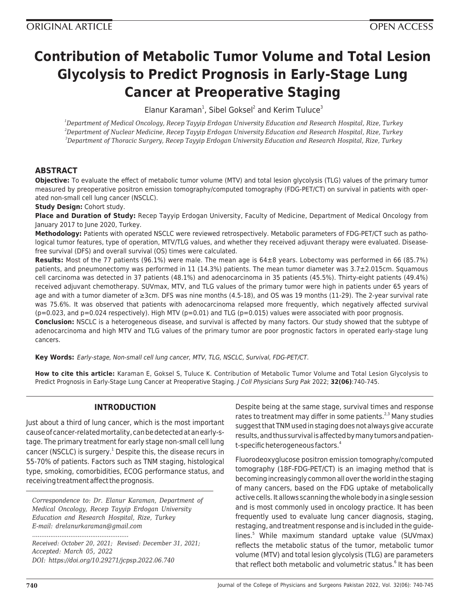# **Contribution of Metabolic Tumor Volume and Total Lesion Glycolysis to Predict Prognosis in Early-Stage Lung Cancer at Preoperative Staging**

 $E$ lanur Karaman<sup>1</sup>, Sibel Goksel<sup>2</sup> and Kerim Tuluce<sup>3</sup>

*<sup>1</sup>Department of Medical Oncology, Recep Tayyip Erdogan University Education and Research Hospital, Rize, Turkey <sup>2</sup>Department of Nuclear Medicine, Recep Tayyip Erdogan University Education and Research Hospital, Rize, Turkey <sup>3</sup>Department of Thoracic Surgery, Recep Tayyip Erdogan University Education and Research Hospital, Rize, Turkey*

## **ABSTRACT**

**Objective:** To evaluate the effect of metabolic tumor volume (MTV) and total lesion glycolysis (TLG) values of the primary tumor measured by preoperative positron emission tomography/computed tomography (FDG-PET/CT) on survival in patients with operated non-small cell lung cancer (NSCLC).

**Study Design:** Cohort study.

**Place and Duration of Study:** Recep Tayyip Erdogan University, Faculty of Medicine, Department of Medical Oncology from January 2017 to June 2020, Turkey.

**Methodology:** Patients with operated NSCLC were reviewed retrospectively. Metabolic parameters of FDG-PET/CT such as pathological tumor features, type of operation, MTV/TLG values, and whether they received adjuvant therapy were evaluated. Diseasefree survival (DFS) and overall survival (OS) times were calculated.

**Results:** Most of the 77 patients (96.1%) were male. The mean age is 64±8 years. Lobectomy was performed in 66 (85.7%) patients, and pneumonectomy was performed in 11 (14.3%) patients. The mean tumor diameter was 3.7±2.015cm. Squamous cell carcinoma was detected in 37 patients (48.1%) and adenocarcinoma in 35 patients (45.5%). Thirty-eight patients (49.4%) received adjuvant chemotherapy. SUVmax, MTV, and TLG values of the primary tumor were high in patients under 65 years of age and with a tumor diameter of ≥3cm. DFS was nine months (4.5-18), and OS was 19 months (11-29). The 2-year survival rate was 75.6%. It was observed that patients with adenocarcinoma relapsed more frequently, which negatively affected survival  $(p=0.023,$  and  $p=0.024$  respectively). High MTV  $(p=0.01)$  and TLG  $(p=0.015)$  values were associated with poor prognosis.

**Conclusion:** NSCLC is a heterogeneous disease, and survival is affected by many factors. Our study showed that the subtype of adenocarcinoma and high MTV and TLG values of the primary tumor are poor prognostic factors in operated early-stage lung cancers.

**Key Words:** Early-stage, Non-small cell lung cancer, MTV, TLG, NSCLC, Survival, FDG-PET/CT.

**How to cite this article:** Karaman E, Goksel S, Tuluce K. Contribution of Metabolic Tumor Volume and Total Lesion Glycolysis to Predict Prognosis in Early-Stage Lung Cancer at Preoperative Staging. J Coll Physicians Surg Pak 2022; **32(06)**:740-745.

## **INTRODUCTION**

Just about a third of lung cancer, which is the most important cause of cancer-related mortality, can be detected at an early-stage. The primary treatment for early stage non-small cell lung cancer (NSCLC) is surgery.<sup>1</sup> Despite this, the disease recurs in 55-70% of patients. Factors such as TNM staging, histological type, smoking, comorbidities, ECOG performance status, and receiving treatment affect the prognosis.

*Correspondence to: Dr. Elanur Karaman, Department of Medical Oncology, Recep Tayyip Erdogan University Education and Research Hospital, Rize, Turkey E-mail: drelanurkaraman@gmail.com*

*Received: October 20, 2021; Revised: December 31, 2021; Accepted: March 05, 2022 DOI: https://doi.org/10.29271/jcpsp.2022.06.740*

*.....................................................*

Despite being at the same stage, survival times and response rates to treatment may differ in some patients. $2,3$  Many studies suggest that TNM used in staging does not always give accurate results, and thus survival is affected by many tumors and patient-specific heterogeneous factors.<sup>4</sup>

Fluorodeoxyglucose positron emission tomography/computed tomography (18F-FDG-PET/CT) is an imaging method that is becoming increasingly common all over the world in the staging of many cancers, based on the FDG uptake of metabolically active cells. It allows scanning the whole body in a single session and is most commonly used in oncology practice. It has been frequently used to evaluate lung cancer diagnosis, staging, restaging, and treatment response and is included in the guidelines.<sup>5</sup> While maximum standard uptake value (SUVmax) reflects the metabolic status of the tumor, metabolic tumor volume (MTV) and total lesion glycolysis (TLG) are parameters that reflect both metabolic and volumetric status.<sup>6</sup> It has been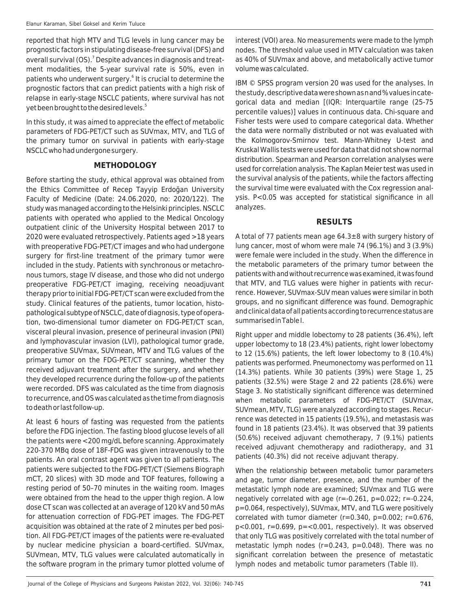reported that high MTV and TLG levels in lung cancer may be prognostic factors in stipulating disease-free survival (DFS) and overall survival (OS).<sup>7</sup> Despite advances in diagnosis and treatment modalities, the 5-year survival rate is 50%, even in patients who underwent surgery.<sup>6</sup> It is crucial to determine the prognostic factors that can predict patients with a high risk of relapse in early-stage NSCLC patients, where survival has not yet been brought to the desired levels.<sup>5</sup>

In this study, ıt was aimed to appreciate the effect of metabolic parameters of FDG-PET/CT such as SUVmax, MTV, and TLG of the primary tumor on survival in patients with early-stage NSCLC who had undergone surgery.

#### **METHODOLOGY**

Before starting the study, ethical approval was obtained from the Ethics Committee of Recep Tayyip Erdoğan University Faculty of Medicine (Date: 24.06.2020, no: 2020/122). The study was managed according to the Helsinki principles. NSCLC patients with operated who applied to the Medical Oncology outpatient clinic of the University Hospital between 2017 to 2020 were evaluated retrospectively. Patients aged >18 years with preoperative FDG-PET/CT images and who had undergone surgery for first-line treatment of the primary tumor were included in the study. Patients with synchronous or metachronous tumors, stage IV disease, and those who did not undergo preoperative FDG-PET/CT imaging, receiving neoadjuvant therapy prior to initial FDG-PET/CT scan were excluded from the study. Clinical features of the patients, tumor location, histopathological subtype of NSCLC, date of diagnosis, type of operation, two-dimensional tumor diameter on FDG-PET/CT scan, visceral pleural invasion, presence of perineural invasion (PNI) and lymphovascular invasion (LVI), pathological tumor grade, preoperative SUVmax, SUVmean, MTV and TLG values of the primary tumor on the FDG-PET/CT scanning, whether they received adjuvant treatment after the surgery, and whether they developed recurrence during the follow-up of the patients were recorded. DFS was calculated as the time from diagnosis to recurrence, and OS was calculated as the time from diagnosis to death or last follow-up.

At least 6 hours of fasting was requested from the patients before the FDG injection. The fasting blood glucose levels of all the patients were <200 mg/dL before scanning. Approximately 220-370 MBq dose of 18F-FDG was given intravenously to the patients. An oral contrast agent was given to all patients. The patients were subjected to the FDG-PET/CT (Siemens Biograph mCT, 20 slices) with 3D mode and TOF features, following a resting period of 50–70 minutes in the waiting room. Images were obtained from the head to the upper thigh region. A low dose CT scan was collected at an average of 120 kV and 50 mAs for attenuation correction of FDG-PET images. The FDG-PET acquisition was obtained at the rate of 2 minutes per bed position. All FDG-PET/CT images of the patients were re-evaluated by nuclear medicine physician a board-certified. SUVmax, SUVmean, MTV, TLG values were calculated automatically in the software program in the primary tumor plotted volume of

interest (VOI) area. No measurements were made to the lymph nodes. The threshold value used in MTV calculation was taken as 40% of SUVmax and above, and metabolically active tumor volume was calculated.

IBM © SPSS program version 20 was used for the analyses. In the study, descriptive data were shown as n and % values in categorical data and median [(IQR: Interquartile range (25-75 percentile values)] values in continuous data. Chi-square and Fisher tests were used to compare categorical data. Whether the data were normally distributed or not was evaluated with the Kolmogorov-Smirnov test. Mann-Whitney U-test and Kruskal Wallis tests were used for data that did not show normal distribution. Spearman and Pearson correlation analyses were used for correlation analysis. The Kaplan Meier test was used in the survival analysis of the patients, while the factors affecting the survival time were evaluated with the Cox regression analysis. P<0.05 was accepted for statistical significance in all analyzes.

#### **RESULTS**

A total of 77 patients mean age 64.3±8 with surgery history of lung cancer, most of whom were male 74 (96.1%) and 3 (3.9%) were female were included in the study. When the difference in the metabolic parameters of the primary tumor between the patients with and without recurrence was examined, it was found that MTV, and TLG values were higher in patients with recurrence. However, SUVmax-SUV mean values were similar in both groups, and no significant difference was found. Demographic and clinical data of all patients according to recurrence status are summarised in Table I.

Right upper and middle lobectomy to 28 patients (36.4%), left upper lobectomy to 18 (23.4%) patients, right lower lobectomy to 12 (15.6%) patients, the left lower lobectomy to 8 (10.4%) patients was performed. Pneumonectomy was performed on 11 (14.3%) patients. While 30 patients (39%) were Stage 1, 25 patients (32.5%) were Stage 2 and 22 patients (28.6%) were Stage 3. No statistically significant difference was determined when metabolic parameters of FDG-PET/CT (SUVmax, SUVmean, MTV, TLG) were analyzed according to stages. Recurrence was detected in 15 patients (19.5%), and metastasis was found in 18 patients (23.4%). It was observed that 39 patients (50.6%) received adjuvant chemotherapy, 7 (9.1%) patients received adjuvant chemotherapy and radiotherapy, and 31 patients (40.3%) did not receive adjuvant therapy.

When the relationship between metabolic tumor parameters and age, tumor diameter, presence, and the number of the metastatic lymph node are examined; SUVmax and TLG were negatively correlated with age  $(r=-0.261, p=0.022; r=-0.224, p=0.022)$ p=0.064, respectively), SUVmax, MTV, and TLG were positively correlated with tumor diameter ( $r=0.340$ ,  $p=0.002$ ;  $r=0.676$ , p<0.001, r=0.699, p=<0.001, respectively). It was observed that only TLG was positively correlated with the total number of metastatic lymph nodes (r=0.243, p=0.048). There was no significant correlation between the presence of metastatic lymph nodes and metabolic tumor parameters (Table II).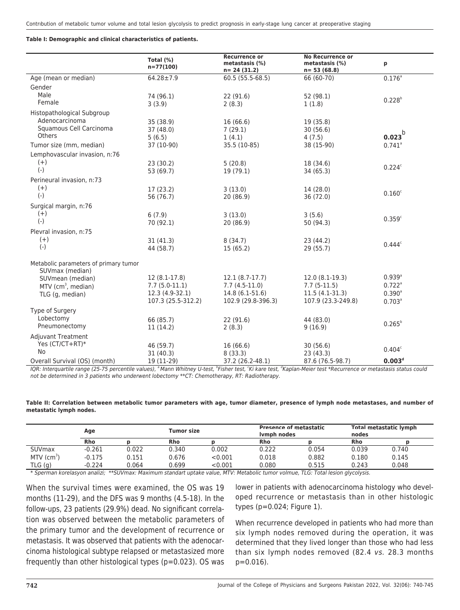#### **Table I: Demographic and clinical characteristics of patients.**

|                                                          | Total (%)<br>$n = 77(100)$ | <b>Recurrence or</b><br>metastasis (%)<br>$n = 24(31.2)$ | <b>No Recurrence or</b><br>metastasis (%)<br>$n = 53(68.8)$ | p                    |
|----------------------------------------------------------|----------------------------|----------------------------------------------------------|-------------------------------------------------------------|----------------------|
| Age (mean or median)                                     | $64.28 \pm 7.9$            | 60.5 (55.5-68.5)                                         | 66 (60-70)                                                  | $0.176^{a}$          |
| Gender                                                   |                            |                                                          |                                                             |                      |
| Male                                                     | 74 (96.1)                  | 22 (91.6)                                                | 52(98.1)                                                    |                      |
| Female                                                   | 3(3.9)                     | 2(8.3)                                                   | 1(1.8)                                                      | $0.228^{b}$          |
| Histopathological Subgroup                               |                            |                                                          |                                                             |                      |
| Adenocarcinoma                                           | 35 (38.9)                  | 16(66.6)                                                 | 19 (35.8)                                                   |                      |
| Squamous Cell Carcinoma                                  | 37 (48.0)                  | 7(29.1)                                                  | 30(56.6)                                                    |                      |
| Others                                                   | 5(6.5)                     | 1(4.1)                                                   | 4(7.5)                                                      | $0.023^{b}$          |
| Tumor size (mm, median)                                  | 37 (10-90)                 | 35.5 (10-85)                                             | 38 (15-90)                                                  | $0.741$ <sup>a</sup> |
| Lemphovascular invasion, n:76                            |                            |                                                          |                                                             |                      |
| $(+)$                                                    | 23(30.2)                   | 5(20.8)                                                  | 18 (34.6)                                                   |                      |
| $(-)$                                                    | 53 (69.7)                  | 19 (79.1)                                                | 34 (65.3)                                                   | 0.224c               |
| Perineural invasion, n:73                                |                            |                                                          |                                                             |                      |
| $(+)$                                                    | 17(23.2)                   | 3(13.0)                                                  | 14(28.0)                                                    |                      |
| $(-)$                                                    | 56 (76.7)                  | 20 (86.9)                                                | 36 (72.0)                                                   | 0.160 <sup>c</sup>   |
| Surgical margin, n:76                                    |                            |                                                          |                                                             |                      |
| $(+)$                                                    | 6(7.9)                     | 3(13.0)                                                  | 3(5.6)                                                      |                      |
| $(-)$                                                    | 70 (92.1)                  | 20(86.9)                                                 | 50 (94.3)                                                   | 0.359 <sup>c</sup>   |
| Plevral invasion, n:75                                   |                            |                                                          |                                                             |                      |
| $(+)$                                                    | 31(41.3)                   | 8(34.7)                                                  | 23 (44.2)                                                   |                      |
| $(-)$                                                    | 44 (58.7)                  | 15(65.2)                                                 | 29 (55.7)                                                   | $0.444^c$            |
|                                                          |                            |                                                          |                                                             |                      |
| Metabolic parameters of primary tumor<br>SUVmax (median) |                            |                                                          |                                                             |                      |
| SUVmean (median)                                         | $12(8.1-17.8)$             | $12.1(8.7-17.7)$                                         | $12.0(8.1-19.3)$                                            | $0.939^{\circ}$      |
| MTV ( $cm3$ , median)                                    | $7.7(5.0-11.1)$            | $7.7(4.5-11.0)$                                          | $7.7(5-11.5)$                                               | $0.722$ <sup>a</sup> |
| TLG (g, median)                                          | 12.3 (4.9-32.1)            | 14.8 (6.1-51.6)                                          | $11.5(4.1-31.3)$                                            | $0.390^{\circ}$      |
|                                                          | 107.3 (25.5-312.2)         | 102.9 (29.8-396.3)                                       | 107.9 (23.3-249.8)                                          | $0.703^{\circ}$      |
| Type of Surgery                                          |                            |                                                          |                                                             |                      |
| Lobectomy                                                | 66 (85.7)                  | 22(91.6)                                                 | 44 (83.0)                                                   |                      |
| Pneumonectomy                                            | 11(14.2)                   | 2(8.3)                                                   | 9(16.9)                                                     | $0.265^{b}$          |
| <b>Adjuvant Treatment</b>                                |                            |                                                          |                                                             |                      |
| Yes (CT/CT+RT)*                                          | 46 (59.7)                  | 16 (66.6)                                                | 30(56.6)                                                    |                      |
| <b>No</b>                                                | 31(40.3)                   | 8(33.3)                                                  | 23(43.3)                                                    | $0.404^c$            |
| Overall Survival (OS) (month)                            | 19 (11-29)                 | 37.2 (26.2-48.1)                                         | 87.6 (76.5-98.7)                                            | 0.003 <sup>d</sup>   |

IQR: Interquartile range (25-75 percentile values), <sup>a</sup>Mann Whitney U-test, <sup>p</sup>Fisher test, ʿKi kare test, ʿKaplan-Meier test \*Recurrence or metastasis status could not be determined in 3 patients who underwent lobectomy \*\*CT: Chemotherapy, RT: Radiotherapy.

| Table II: Correlation between metabolic tumor parameters with age, tumor diameter, presence of lymph node metastases, and number of |  |  |  |
|-------------------------------------------------------------------------------------------------------------------------------------|--|--|--|
| metastatic lymph nodes.                                                                                                             |  |  |  |

|                          | Age        |       |            | Tumor size |            | <b>Presence of metastatic</b><br>Ivmph nodes |            | Total metastatic lymph<br>nodes |  |
|--------------------------|------------|-------|------------|------------|------------|----------------------------------------------|------------|---------------------------------|--|
|                          | <b>Rho</b> |       | <b>Rho</b> |            | <b>Rho</b> |                                              | <b>Rho</b> |                                 |  |
| <b>SUVmax</b>            | $-0.261$   | 0.022 | 0.340      | 0.002      | 0.222      | 0.054                                        | 0.039      | 0.740                           |  |
| $MTV$ (cm <sup>3</sup> ) | -0.175     | 0.151 | 0.676      | < 0.001    | 0.018      | 0.882                                        | 0.180      | 0.145                           |  |
| TLG(g)                   | -0.224     | 0.064 | 0.699      | ${<}0.001$ | 0.080      | 0.515                                        | 0.243      | 0.048                           |  |

\* Sperman korelasyon analizi; \*\*SUVmax: Maximum standart uptake value, MTV: Metabolic tumor volmue, TLG: Total lesion glycolysis.

When the survival times were examined, the OS was 19 months (11-29), and the DFS was 9 months (4.5-18). In the follow-ups, 23 patients (29.9%) dead. No significant correlation was observed between the metabolic parameters of the primary tumor and the development of recurrence or metastasis. It was observed that patients with the adenocarcinoma histological subtype relapsed or metastasized more frequently than other histological types (p=0.023). OS was

lower in patients with adenocarcinoma histology who developed recurrence or metastasis than in other histologic types (p=0.024; Figure 1).

When recurrence developed in patients who had more than six lymph nodes removed during the operation, it was determined that they lived longer than those who had less than six lymph nodes removed (82.4 vs. 28.3 months p=0.016).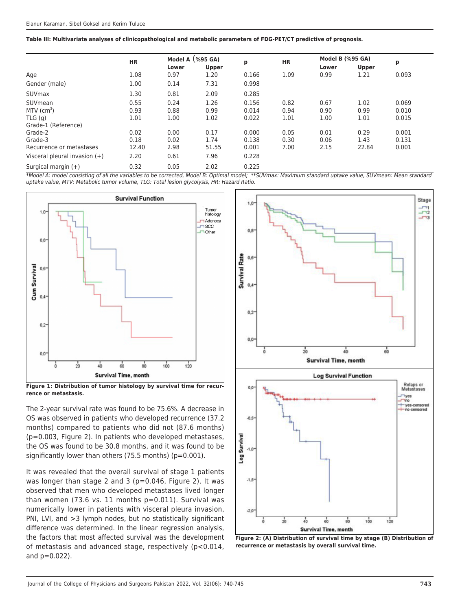**Table III: Multivariate analyses of clinicopathological and metabolic parameters of FDG-PET/CT predictive of prognosis.**

|                                 | <b>HR</b> | Model A $(%$ (%95 GA) |              |       | <b>HR</b> | <b>Model B (%95 GA)</b> |              |       |
|---------------------------------|-----------|-----------------------|--------------|-------|-----------|-------------------------|--------------|-------|
|                                 |           | Lower                 | <b>Upper</b> | p     |           | Lower                   | <b>Upper</b> | p     |
| Age                             | 1.08      | 0.97                  | 1.20         | 0.166 | 1.09      | 0.99                    | 1.21         | 0.093 |
| Gender (male)                   | 1.00      | 0.14                  | 7.31         | 0.998 |           |                         |              |       |
| SUVmax                          | 1.30      | 0.81                  | 2.09         | 0.285 |           |                         |              |       |
| SUVmean                         | 0.55      | 0.24                  | 1.26         | 0.156 | 0.82      | 0.67                    | 1.02         | 0.069 |
| $MTV$ (cm <sup>3</sup> )        | 0.93      | 0.88                  | 0.99         | 0.014 | 0.94      | 0.90                    | 0.99         | 0.010 |
| TLG(q)                          | 1.01      | 1.00                  | 1.02         | 0.022 | 1.01      | 1.00                    | 1.01         | 0.015 |
| Grade-1 (Reference)             |           |                       |              |       |           |                         |              |       |
| Grade-2                         | 0.02      | 0.00                  | 0.17         | 0.000 | 0.05      | 0.01                    | 0.29         | 0.001 |
| Grade-3                         | 0.18      | 0.02                  | 1.74         | 0.138 | 0.30      | 0.06                    | 1.43         | 0.131 |
| Recurrence or metastases        | 12.40     | 2.98                  | 51.55        | 0.001 | 7.00      | 2.15                    | 22.84        | 0.001 |
| Visceral pleural invasion $(+)$ | 2.20      | 0.61                  | 7.96         | 0.228 |           |                         |              |       |
| Surgical margin $(+)$           | 0.32      | 0.05                  | 2.02         | 0.225 |           |                         |              |       |

\*Model A: model consisting of all the variables to be corrected, Model B: Optimal model; \*\*SUVmax: Maximum standard uptake value, SUVmean: Mean standard uptake value, MTV: Metabolic tumor volume, TLG: Total lesion glycolysis, HR: Hazard Ratio.



**Figure 1: Distribution of tumor histology by survival time for recurrence or metastasis.**

The 2-year survival rate was found to be 75.6%. A decrease in OS was observed in patients who developed recurrence (37.2 months) compared to patients who did not (87.6 months) (p=0.003, Figure 2). In patients who developed metastases, the OS was found to be 30.8 months, and it was found to be significantly lower than others (75.5 months) (p=0.001).

It was revealed that the overall survival of stage 1 patients was longer than stage 2 and 3 (p=0.046, Figure 2). It was observed that men who developed metastases lived longer than women (73.6 vs. 11 months  $p=0.011$ ). Survival was numerically lower in patients with visceral pleura invasion, PNI, LVI, and >3 lymph nodes, but no statistically significant difference was determined. In the linear regression analysis, the factors that most affected survival was the development of metastasis and advanced stage, respectively (p<0.014, and p=0.022).



**Figure 2: (A) Distribution of survival time by stage (B) Distribution of recurrence or metastasis by overall survival time.**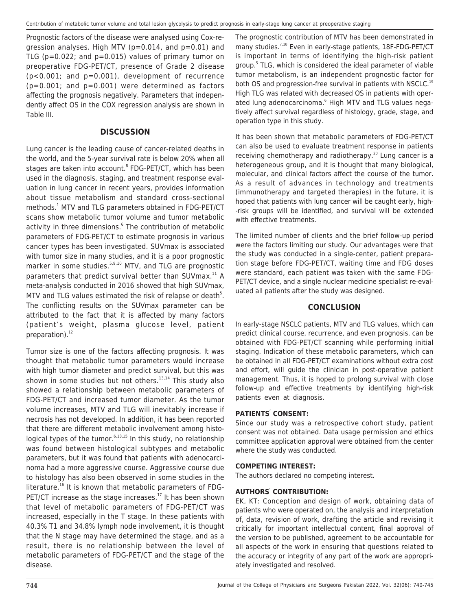Prognostic factors of the disease were analysed using Cox-regression analyses. High MTV ( $p=0.014$ , and  $p=0.01$ ) and TLG ( $p=0.022$ ; and  $p=0.015$ ) values of primary tumor on preoperative FDG-PET/CT, presence of Grade 2 disease (p<0.001; and p=0.001), development of recurrence  $(p=0.001;$  and  $p=0.001)$  were determined as factors affecting the prognosis negatively. Parameters that independently affect OS in the COX regression analysis are shown in Table III.

#### **DISCUSSION**

Lung cancer is the leading cause of cancer-related deaths in the world, and the 5-year survival rate is below 20% when all stages are taken into account.<sup>8</sup> FDG-PET/CT, which has been used in the diagnosis, staging, and treatment response evaluation in lung cancer in recent years, provides information about tissue metabolism and standard cross-sectional methods.<sup>1</sup> MTV and TLG parameters obtained in FDG-PET/CT scans show metabolic tumor volume and tumor metabolic activity in three dimensions.<sup>6</sup> The contribution of metabolic parameters of FDG-PET/CT to estimate prognosis in various cancer types has been investigated. SUVmax is associated with tumor size in many studies, and it is a poor prognostic marker in some studies.<sup>5,9,10</sup> MTV, and TLG are prognostic parameters that predict survival better than SUVmax.<sup>11</sup> A meta-analysis conducted in 2016 showed that high SUVmax, MTV and TLG values estimated the risk of relapse or death<sup>5</sup>. The conflicting results on the SUVmax parameter can be attributed to the fact that it is affected by many factors (patient's weight, plasma glucose level, patient preparation). $^{12}$ 

Tumor size is one of the factors affecting prognosis. It was thought that metabolic tumor parameters would increase with high tumor diameter and predict survival, but this was shown in some studies but not others. $13,14$  This study also showed a relationship between metabolic parameters of FDG-PET/CT and increased tumor diameter. As the tumor volume increases, MTV and TLG will inevitably increase if necrosis has not developed. In addition, it has been reported that there are different metabolic involvement among histological types of the tumor.<sup>6,13,15</sup> In this study, no relationship was found between histological subtypes and metabolic parameters, but it was found that patients with adenocarcinoma had a more aggressive course. Aggressive course due to histology has also been observed in some studies in the literature.<sup>16</sup> It is known that metabolic parameters of FDG-PET/CT increase as the stage increases. $17$  It has been shown that level of metabolic parameters of FDG-PET/CT was increased, especially in the T stage. In these patients with 40.3% T1 and 34.8% lymph node involvement, it is thought that the N stage may have determined the stage, and as a result, there is no relationship between the level of metabolic parameters of FDG-PET/CT and the stage of the disease.

The prognostic contribution of MTV has been demonstrated in many studies.<sup>7,18</sup> Even in early-stage patients, 18F-FDG-PET/CT is important in terms of identifying the high-risk patient group.<sup>5</sup> TLG, which is considered the ideal parameter of viable tumor metabolism, is an independent prognostic factor for both OS and progression-free survival in patients with NSCLC.<sup>19</sup> High TLG was related with decreased OS in patients with operated lung adenocarcinoma.<sup>6</sup> High MTV and TLG values negatively affect survival regardless of histology, grade, stage, and operation type in this study.

It has been shown that metabolic parameters of FDG-PET/CT can also be used to evaluate treatment response in patients receiving chemotherapy and radiotherapy.<sup>20</sup> Lung cancer is a heterogeneous group, and it is thought that many biological, molecular, and clinical factors affect the course of the tumor. As a result of advances in technology and treatments (immunotherapy and targeted therapies) in the future, it is hoped that patients with lung cancer will be caught early, high- -risk groups will be identified, and survival will be extended with effective treatments.

The limited number of clients and the brief follow-up period were the factors limiting our study. Our advantages were that the study was conducted in a single-center, patient preparation stage before FDG-PET/CT, waiting time and FDG doses were standard, each patient was taken with the same FDG-PET/CT device, and a single nuclear medicine specialist re-evaluated all patients after the study was designed.

### **CONCLUSION**

In early-stage NSCLC patients, MTV and TLG values, which can predict clinical course, recurrence, and even prognosis, can be obtained with FDG-PET/CT scanning while performing initial staging. Indication of these metabolic parameters, which can be obtained in all FDG-PET/CT examinations without extra cost and effort, will guide the clinician in post-operative patient management. Thus, it is hoped to prolong survival with close follow-up and effective treatments by identifying high-risk patients even at diagnosis.

#### **PATIENTS' CONSENT:**

Since our study was a retrospective cohort study, patient consent was not obtained. Data usage permission and ethics committee application approval were obtained from the center where the study was conducted.

#### **COMPETING INTEREST:**

The authors declared no competing interest.

#### **AUTHORS' CONTRIBUTION:**

EK, KT: Conception and design of work, obtaining data of patients who were operated on, the analysis and interpretation of, data, revision of work, drafting the article and revising it critically for important intellectual content, final approval of the version to be published, agreement to be accountable for all aspects of the work in ensuring that questions related to the accuracy or integrity of any part of the work are appropriately investigated and resolved.